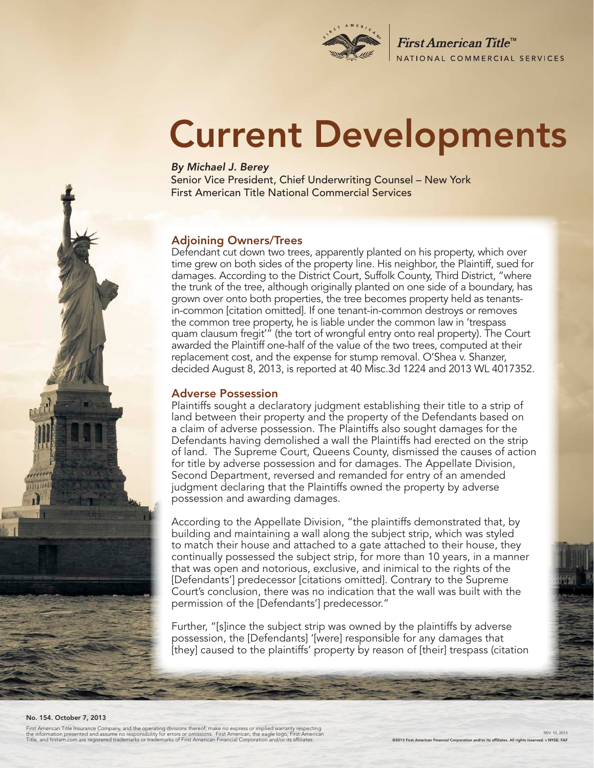

First American Title<sup>™</sup> NATIONAL COMMERCIAL SERVICES

# Current Developments

#### *By Michael J. Berey*

Senior Vice President, Chief Underwriting Counsel – New York First American Title National Commercial Services

#### Adjoining Owners/Trees

Defendant cut down two trees, apparently planted on his property, which over time grew on both sides of the property line. His neighbor, the Plaintiff, sued for damages. According to the District Court, Suffolk County, Third District, "where the trunk of the tree, although originally planted on one side of a boundary, has grown over onto both properties, the tree becomes property held as tenantsin-common [citation omitted]. If one tenant-in-common destroys or removes the common tree property, he is liable under the common law in 'trespass quam clausum fregit'" (the tort of wrongful entry onto real property). The Court awarded the Plaintiff one-half of the value of the two trees, computed at their replacement cost, and the expense for stump removal. O'Shea v. Shanzer, decided August 8, 2013, is reported at 40 Misc.3d 1224 and 2013 WL 4017352.

#### Adverse Possession

Plaintiffs sought a declaratory judgment establishing their title to a strip of land between their property and the property of the Defendants based on a claim of adverse possession. The Plaintiffs also sought damages for the Defendants having demolished a wall the Plaintiffs had erected on the strip of land. The Supreme Court, Queens County, dismissed the causes of action for title by adverse possession and for damages. The Appellate Division, Second Department, reversed and remanded for entry of an amended judgment declaring that the Plaintiffs owned the property by adverse possession and awarding damages.

According to the Appellate Division, "the plaintiffs demonstrated that, by building and maintaining a wall along the subject strip, which was styled to match their house and attached to a gate attached to their house, they continually possessed the subject strip, for more than 10 years, in a manner that was open and notorious, exclusive, and inimical to the rights of the [Defendants'] predecessor [citations omitted]. Contrary to the Supreme Court's conclusion, there was no indication that the wall was built with the permission of the [Defendants'] predecessor."

Further, "[s]ince the subject strip was owned by the plaintiffs by adverse possession, the [Defendants] '[were] responsible for any damages that [they] caused to the plaintiffs' property by reason of [their] trespass (citation

#### No. 154. October 7, 2013

First American Title Insurance Company, and the operating divisions thereof, make no express or implied warranty respecting<br>the information presented and assume no responsibility for errors or omissions. First American, th

REV: 10, 2013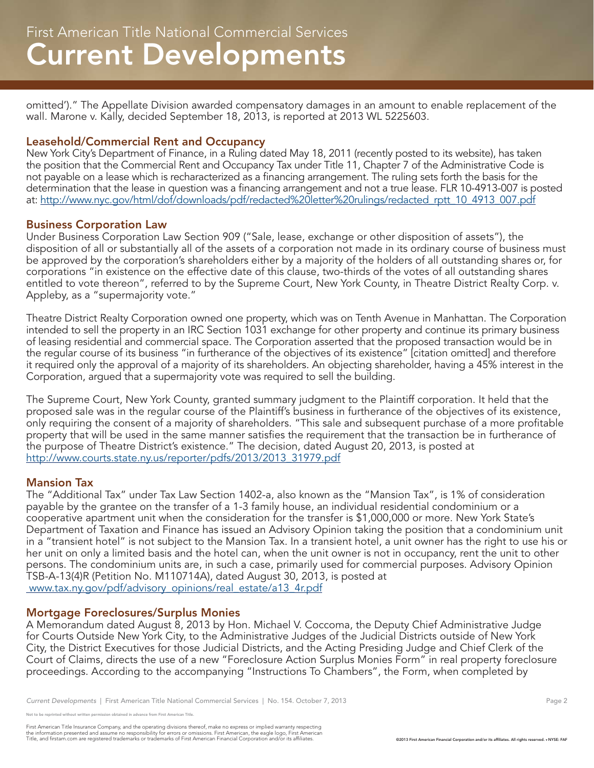omitted')." The Appellate Division awarded compensatory damages in an amount to enable replacement of the wall. Marone v. Kally, decided September 18, 2013, is reported at 2013 WL 5225603.

#### Leasehold/Commercial Rent and Occupancy

New York City's Department of Finance, in a Ruling dated May 18, 2011 (recently posted to its website), has taken the position that the Commercial Rent and Occupancy Tax under Title 11, Chapter 7 of the Administrative Code is not payable on a lease which is recharacterized as a financing arrangement. The ruling sets forth the basis for the determination that the lease in question was a financing arrangement and not a true lease. FLR 10-4913-007 is posted at: http://www.nyc.gov/html/dof/downloads/pdf/redacted%20letter%20rulings/redacted\_rptt\_10\_4913\_007.pdf

#### Business Corporation Law

Under Business Corporation Law Section 909 ("Sale, lease, exchange or other disposition of assets"), the disposition of all or substantially all of the assets of a corporation not made in its ordinary course of business must be approved by the corporation's shareholders either by a majority of the holders of all outstanding shares or, for corporations "in existence on the effective date of this clause, two-thirds of the votes of all outstanding shares entitled to vote thereon", referred to by the Supreme Court, New York County, in Theatre District Realty Corp. v. Appleby, as a "supermajority vote."

Theatre District Realty Corporation owned one property, which was on Tenth Avenue in Manhattan. The Corporation intended to sell the property in an IRC Section 1031 exchange for other property and continue its primary business of leasing residential and commercial space. The Corporation asserted that the proposed transaction would be in the regular course of its business "in furtherance of the objectives of its existence" [citation omitted] and therefore it required only the approval of a majority of its shareholders. An objecting shareholder, having a 45% interest in the Corporation, argued that a supermajority vote was required to sell the building.

The Supreme Court, New York County, granted summary judgment to the Plaintiff corporation. It held that the proposed sale was in the regular course of the Plaintiff's business in furtherance of the objectives of its existence, only requiring the consent of a majority of shareholders. "This sale and subsequent purchase of a more profitable property that will be used in the same manner satisfies the requirement that the transaction be in furtherance of the purpose of Theatre District's existence." The decision, dated August 20, 2013, is posted at http://www.courts.state.ny.us/reporter/pdfs/2013/2013\_31979.pdf

#### Mansion Tax

The "Additional Tax" under Tax Law Section 1402-a, also known as the "Mansion Tax", is 1% of consideration payable by the grantee on the transfer of a 1-3 family house, an individual residential condominium or a cooperative apartment unit when the consideration for the transfer is \$1,000,000 or more. New York State's Department of Taxation and Finance has issued an Advisory Opinion taking the position that a condominium unit in a "transient hotel" is not subject to the Mansion Tax. In a transient hotel, a unit owner has the right to use his or her unit on only a limited basis and the hotel can, when the unit owner is not in occupancy, rent the unit to other persons. The condominium units are, in such a case, primarily used for commercial purposes. Advisory Opinion TSB-A-13(4)R (Petition No. M110714A), dated August 30, 2013, is posted at www.tax.ny.gov/pdf/advisory\_opinions/real\_estate/a13\_4r.pdf

#### Mortgage Foreclosures/Surplus Monies

A Memorandum dated August 8, 2013 by Hon. Michael V. Coccoma, the Deputy Chief Administrative Judge for Courts Outside New York City, to the Administrative Judges of the Judicial Districts outside of New York City, the District Executives for those Judicial Districts, and the Acting Presiding Judge and Chief Clerk of the Court of Claims, directs the use of a new "Foreclosure Action Surplus Monies Form" in real property foreclosure proceedings. According to the accompanying "Instructions To Chambers", the Form, when completed by

.<br>Note reprinted without written permission obtained in advance from First American Title.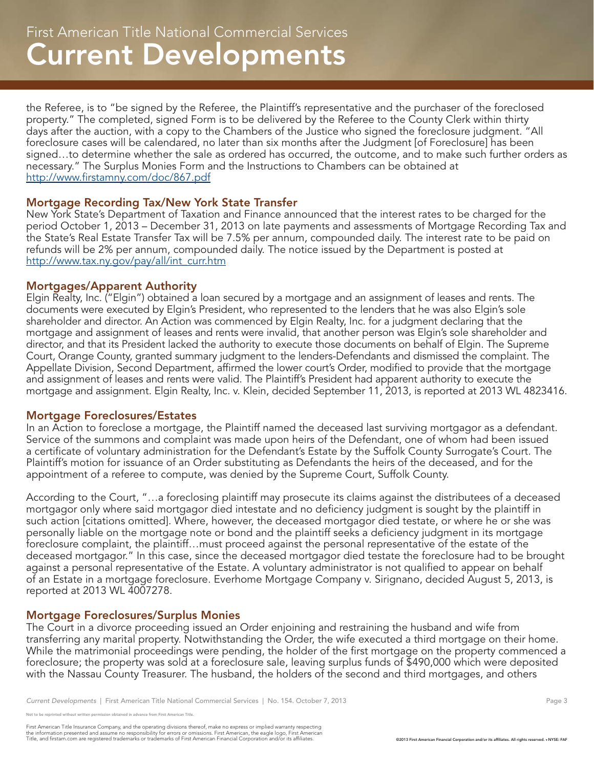the Referee, is to "be signed by the Referee, the Plaintiff's representative and the purchaser of the foreclosed property." The completed, signed Form is to be delivered by the Referee to the County Clerk within thirty days after the auction, with a copy to the Chambers of the Justice who signed the foreclosure judgment. "All foreclosure cases will be calendared, no later than six months after the Judgment [of Foreclosure] has been signed…to determine whether the sale as ordered has occurred, the outcome, and to make such further orders as necessary." The Surplus Monies Form and the Instructions to Chambers can be obtained at http://www.firstamny.com/doc/867.pdf

#### Mortgage Recording Tax/New York State Transfer

New York State's Department of Taxation and Finance announced that the interest rates to be charged for the period October 1, 2013 – December 31, 2013 on late payments and assessments of Mortgage Recording Tax and the State's Real Estate Transfer Tax will be 7.5% per annum, compounded daily. The interest rate to be paid on refunds will be 2% per annum, compounded daily. The notice issued by the Department is posted at http://www.tax.ny.gov/pay/all/int\_curr.htm

#### Mortgages/Apparent Authority

Elgin Realty, Inc. ("Elgin") obtained a loan secured by a mortgage and an assignment of leases and rents. The documents were executed by Elgin's President, who represented to the lenders that he was also Elgin's sole shareholder and director. An Action was commenced by Elgin Realty, Inc. for a judgment declaring that the mortgage and assignment of leases and rents were invalid, that another person was Elgin's sole shareholder and director, and that its President lacked the authority to execute those documents on behalf of Elgin. The Supreme Court, Orange County, granted summary judgment to the lenders-Defendants and dismissed the complaint. The Appellate Division, Second Department, affirmed the lower court's Order, modified to provide that the mortgage and assignment of leases and rents were valid. The Plaintiff's President had apparent authority to execute the mortgage and assignment. Elgin Realty, Inc. v. Klein, decided September 11, 2013, is reported at 2013 WL 4823416.

#### Mortgage Foreclosures/Estates

In an Action to foreclose a mortgage, the Plaintiff named the deceased last surviving mortgagor as a defendant. Service of the summons and complaint was made upon heirs of the Defendant, one of whom had been issued a certificate of voluntary administration for the Defendant's Estate by the Suffolk County Surrogate's Court. The Plaintiff's motion for issuance of an Order substituting as Defendants the heirs of the deceased, and for the appointment of a referee to compute, was denied by the Supreme Court, Suffolk County.

According to the Court, "…a foreclosing plaintiff may prosecute its claims against the distributees of a deceased mortgagor only where said mortgagor died intestate and no deficiency judgment is sought by the plaintiff in such action [citations omitted]. Where, however, the deceased mortgagor died testate, or where he or she was personally liable on the mortgage note or bond and the plaintiff seeks a deficiency judgment in its mortgage foreclosure complaint, the plaintiff…must proceed against the personal representative of the estate of the deceased mortgagor." In this case, since the deceased mortgagor died testate the foreclosure had to be brought against a personal representative of the Estate. A voluntary administrator is not qualified to appear on behalf of an Estate in a mortgage foreclosure. Everhome Mortgage Company v. Sirignano, decided August 5, 2013, is reported at 2013 WL 4007278.

### Mortgage Foreclosures/Surplus Monies

The Court in a divorce proceeding issued an Order enjoining and restraining the husband and wife from transferring any marital property. Notwithstanding the Order, the wife executed a third mortgage on their home. While the matrimonial proceedings were pending, the holder of the first mortgage on the property commenced a foreclosure; the property was sold at a foreclosure sale, leaving surplus funds of \$490,000 which were deposited with the Nassau County Treasurer. The husband, the holders of the second and third mortgages, and others

e reprinted without written permission obtained in advance from First American Title.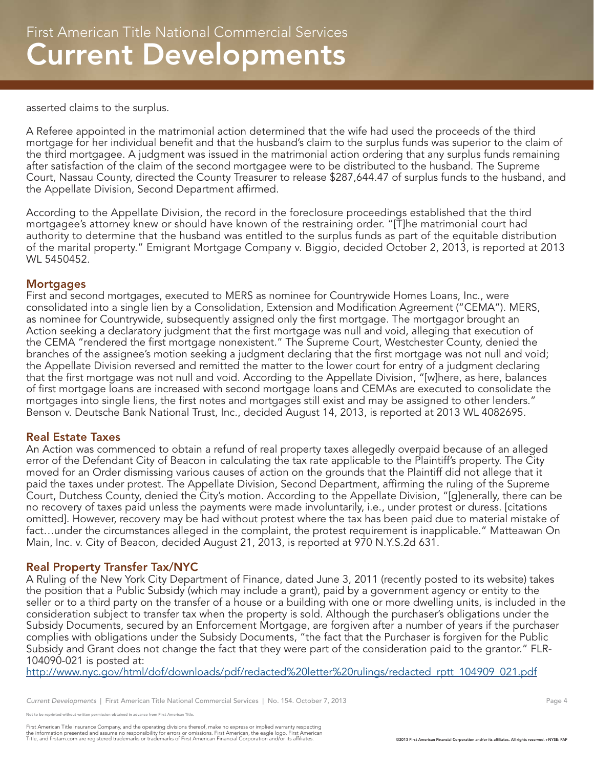asserted claims to the surplus.

A Referee appointed in the matrimonial action determined that the wife had used the proceeds of the third mortgage for her individual benefit and that the husband's claim to the surplus funds was superior to the claim of the third mortgagee. A judgment was issued in the matrimonial action ordering that any surplus funds remaining after satisfaction of the claim of the second mortgagee were to be distributed to the husband. The Supreme Court, Nassau County, directed the County Treasurer to release \$287,644.47 of surplus funds to the husband, and the Appellate Division, Second Department affirmed.

According to the Appellate Division, the record in the foreclosure proceedings established that the third mortgagee's attorney knew or should have known of the restraining order. "[T]he matrimonial court had authority to determine that the husband was entitled to the surplus funds as part of the equitable distribution of the marital property." Emigrant Mortgage Company v. Biggio, decided October 2, 2013, is reported at 2013 WL 5450452.

#### **Mortgages**

First and second mortgages, executed to MERS as nominee for Countrywide Homes Loans, Inc., were consolidated into a single lien by a Consolidation, Extension and Modification Agreement ("CEMA"). MERS, as nominee for Countrywide, subsequently assigned only the first mortgage. The mortgagor brought an Action seeking a declaratory judgment that the first mortgage was null and void, alleging that execution of the CEMA "rendered the first mortgage nonexistent." The Supreme Court, Westchester County, denied the branches of the assignee's motion seeking a judgment declaring that the first mortgage was not null and void; the Appellate Division reversed and remitted the matter to the lower court for entry of a judgment declaring that the first mortgage was not null and void. According to the Appellate Division, "[w]here, as here, balances of first mortgage loans are increased with second mortgage loans and CEMAs are executed to consolidate the mortgages into single liens, the first notes and mortgages still exist and may be assigned to other lenders." Benson v. Deutsche Bank National Trust, Inc., decided August 14, 2013, is reported at 2013 WL 4082695.

#### Real Estate Taxes

An Action was commenced to obtain a refund of real property taxes allegedly overpaid because of an alleged error of the Defendant City of Beacon in calculating the tax rate applicable to the Plaintiff's property. The City moved for an Order dismissing various causes of action on the grounds that the Plaintiff did not allege that it paid the taxes under protest. The Appellate Division, Second Department, affirming the ruling of the Supreme Court, Dutchess County, denied the City's motion. According to the Appellate Division, "[g]enerally, there can be no recovery of taxes paid unless the payments were made involuntarily, i.e., under protest or duress. [citations omitted]. However, recovery may be had without protest where the tax has been paid due to material mistake of fact…under the circumstances alleged in the complaint, the protest requirement is inapplicable." Matteawan On Main, Inc. v. City of Beacon, decided August 21, 2013, is reported at 970 N.Y.S.2d 631.

#### Real Property Transfer Tax/NYC

A Ruling of the New York City Department of Finance, dated June 3, 2011 (recently posted to its website) takes the position that a Public Subsidy (which may include a grant), paid by a government agency or entity to the seller or to a third party on the transfer of a house or a building with one or more dwelling units, is included in the consideration subject to transfer tax when the property is sold. Although the purchaser's obligations under the Subsidy Documents, secured by an Enforcement Mortgage, are forgiven after a number of years if the purchaser complies with obligations under the Subsidy Documents, "the fact that the Purchaser is forgiven for the Public Subsidy and Grant does not change the fact that they were part of the consideration paid to the grantor." FLR-104090-021 is posted at:

http://www.nyc.gov/html/dof/downloads/pdf/redacted%20letter%20rulings/redacted\_rptt\_104909\_021.pdf

e reprinted without written permission obtained in advance from First American Title.